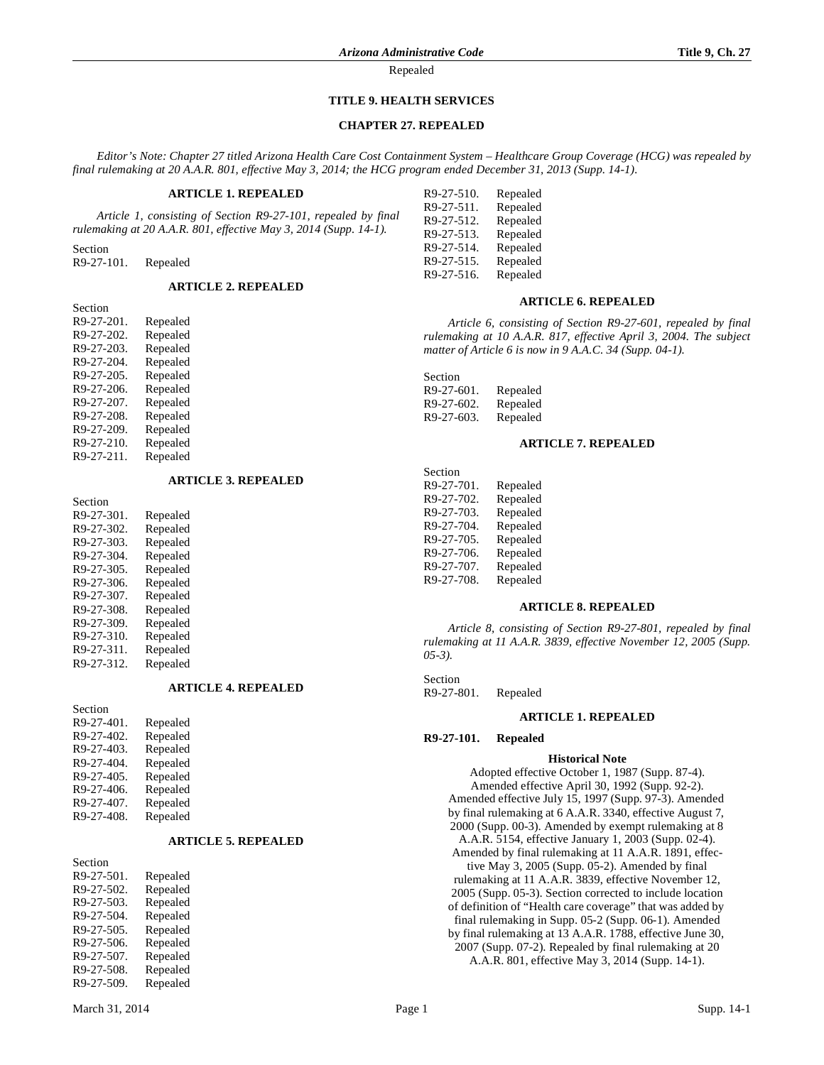## **TITLE 9. HEALTH SERVICES**

# **CHAPTER 27. REPEALED**

*Editor's Note: Chapter 27 titled Arizona Health Care Cost Containment System – Healthcare Group Coverage (HCG) was repealed by final rulemaking at 20 A.A.R. 801, effective May 3, 2014; the HCG program ended December 31, 2013 (Supp. 14-1).*

## **ARTICLE 1. REPEALED**

*Article 1, consisting of Section R9-27-101, repealed by final rulemaking at 20 A.A.R. 801, effective May 3, 2014 (Supp. 14-1).*

Section R9-27-101. Repealed

## **ARTICLE 2. REPEALED**

| Section    |          |
|------------|----------|
| R9-27-201. | Repealed |
| R9-27-202. | Repealed |
| R9-27-203. | Repealed |
| R9-27-204. | Repealed |
| R9-27-205. | Repealed |
| R9-27-206. | Repealed |
| R9-27-207. | Repealed |
| R9-27-208. | Repealed |
| R9-27-209. | Repealed |
| R9-27-210. | Repealed |
| R9-27-211. | Repealed |

### **ARTICLE 3. REPEALED**

| Section    |          |
|------------|----------|
| R9-27-301. | Repealed |
| R9-27-302. | Repealed |
| R9-27-303. | Repealed |
| R9-27-304. | Repealed |
| R9-27-305. | Repealed |
| R9-27-306. | Repealed |
| R9-27-307. | Repealed |
| R9-27-308. | Repealed |
| R9-27-309. | Repealed |
| R9-27-310. | Repealed |
| R9-27-311. | Repealed |
| R9-27-312. | Repealed |

#### **ARTICLE 4. REPEALED**

| Section    |          |
|------------|----------|
| R9-27-401. | Repealed |
| R9-27-402. | Repealed |
| R9-27-403. | Repealed |
| R9-27-404. | Repealed |
| R9-27-405. | Repealed |
| R9-27-406. | Repealed |
| R9-27-407. | Repealed |
| R9-27-408. | Repealed |
|            |          |

## **ARTICLE 5. REPEALED**

| Section    |          |
|------------|----------|
| R9-27-501. | Repealed |
| R9-27-502. | Repealed |
| R9-27-503. | Repealed |
| R9-27-504. | Repealed |
| R9-27-505. | Repealed |
| R9-27-506. | Repealed |
| R9-27-507. | Repealed |
| R9-27-508. | Repealed |
| R9-27-509. | Repealed |

| K9-27-910. | Repeared |
|------------|----------|
| R9-27-511. | Repealed |
| R9-27-512. | Repealed |
| R9-27-513. | Repealed |
| R9-27-514. | Repealed |
| R9-27-515. | Repealed |
| R9-27-516. | Repealed |
|            |          |

 $R^{\text{O}}$   $27.510$ . Repealed

#### **ARTICLE 6. REPEALED**

*Article 6, consisting of Section R9-27-601, repealed by final rulemaking at 10 A.A.R. 817, effective April 3, 2004. The subject matter of Article 6 is now in 9 A.A.C. 34 (Supp. 04-1).*

Section R9-27-601. Repealed R9-27-602. Repealed R9-27-603. Repealed

## **ARTICLE 7. REPEALED**

| Section    |          |
|------------|----------|
| R9-27-701. | Repealed |
| R9-27-702. | Repealed |
| R9-27-703. | Repealed |
| R9-27-704. | Repealed |
| R9-27-705. | Repealed |
| R9-27-706. | Repealed |
| R9-27-707. | Repealed |
| R9-27-708. | Repealed |

## **ARTICLE 8. REPEALED**

*Article 8, consisting of Section R9-27-801, repealed by final rulemaking at 11 A.A.R. 3839, effective November 12, 2005 (Supp. 05-3).*

Section R9-27-801. Repealed

## **ARTICLE 1. REPEALED**

### **R9-27-101. Repealed**

#### **Historical Note**

Adopted effective October 1, 1987 (Supp. 87-4). Amended effective April 30, 1992 (Supp. 92-2). Amended effective July 15, 1997 (Supp. 97-3). Amended by final rulemaking at 6 A.A.R. 3340, effective August 7, 2000 (Supp. 00-3). Amended by exempt rulemaking at 8 A.A.R. 5154, effective January 1, 2003 (Supp. 02-4). Amended by final rulemaking at 11 A.A.R. 1891, effective May 3, 2005 (Supp. 05-2). Amended by final rulemaking at 11 A.A.R. 3839, effective November 12, 2005 (Supp. 05-3). Section corrected to include location of definition of "Health care coverage" that was added by final rulemaking in Supp. 05-2 (Supp. 06-1). Amended by final rulemaking at 13 A.A.R. 1788, effective June 30, 2007 (Supp. 07-2). Repealed by final rulemaking at 20 A.A.R. 801, effective May 3, 2014 (Supp. 14-1).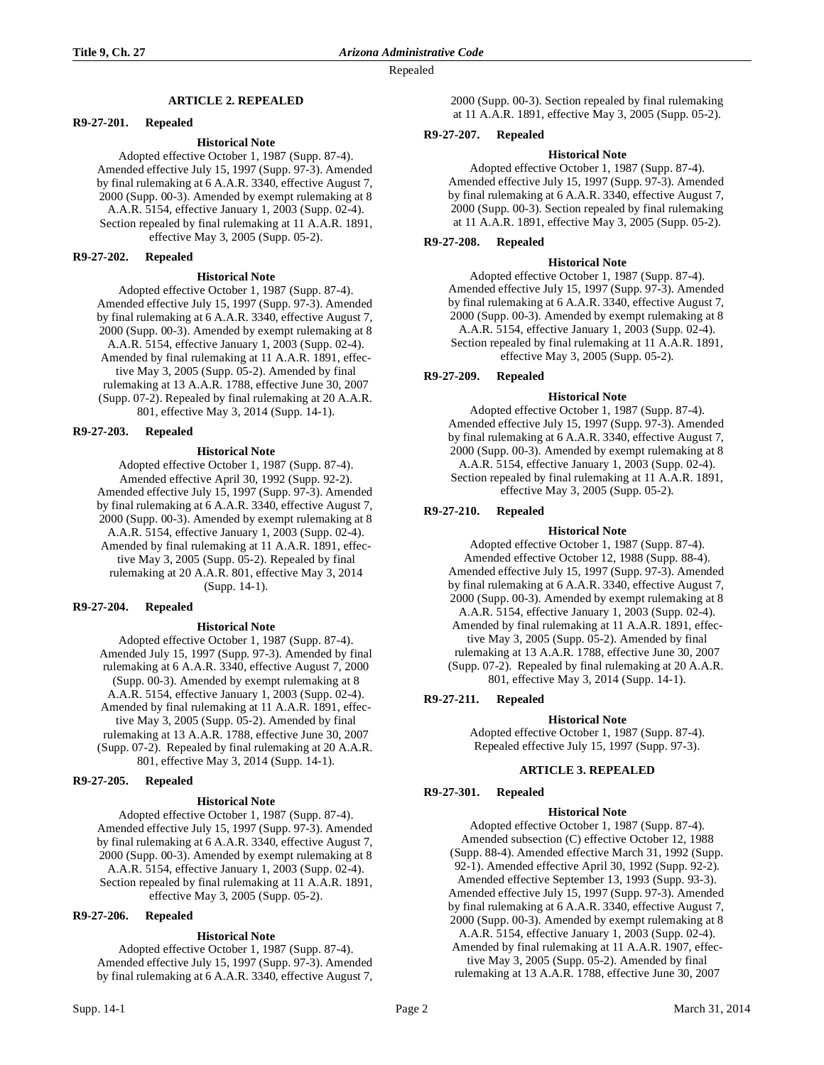## **ARTICLE 2. REPEALED**

## **R9-27-201. Repealed**

### **Historical Note**

Adopted effective October 1, 1987 (Supp. 87-4). Amended effective July 15, 1997 (Supp. 97-3). Amended by final rulemaking at 6 A.A.R. 3340, effective August 7, 2000 (Supp. 00-3). Amended by exempt rulemaking at 8 A.A.R. 5154, effective January 1, 2003 (Supp. 02-4). Section repealed by final rulemaking at 11 A.A.R. 1891, effective May 3, 2005 (Supp. 05-2).

#### **R9-27-202. Repealed**

### **Historical Note**

Adopted effective October 1, 1987 (Supp. 87-4). Amended effective July 15, 1997 (Supp. 97-3). Amended by final rulemaking at 6 A.A.R. 3340, effective August 7, 2000 (Supp. 00-3). Amended by exempt rulemaking at 8 A.A.R. 5154, effective January 1, 2003 (Supp. 02-4). Amended by final rulemaking at 11 A.A.R. 1891, effective May 3, 2005 (Supp. 05-2). Amended by final rulemaking at 13 A.A.R. 1788, effective June 30, 2007 (Supp. 07-2). Repealed by final rulemaking at 20 A.A.R. 801, effective May 3, 2014 (Supp. 14-1).

## **R9-27-203. Repealed**

## **Historical Note**

Adopted effective October 1, 1987 (Supp. 87-4). Amended effective April 30, 1992 (Supp. 92-2). Amended effective July 15, 1997 (Supp. 97-3). Amended by final rulemaking at 6 A.A.R. 3340, effective August 7, 2000 (Supp. 00-3). Amended by exempt rulemaking at 8 A.A.R. 5154, effective January 1, 2003 (Supp. 02-4). Amended by final rulemaking at 11 A.A.R. 1891, effective May 3, 2005 (Supp. 05-2). Repealed by final rulemaking at 20 A.A.R. 801, effective May 3, 2014 (Supp. 14-1).

#### **R9-27-204. Repealed**

## **Historical Note**

Adopted effective October 1, 1987 (Supp. 87-4). Amended July 15, 1997 (Supp. 97-3). Amended by final rulemaking at 6 A.A.R. 3340, effective August 7, 2000 (Supp. 00-3). Amended by exempt rulemaking at 8 A.A.R. 5154, effective January 1, 2003 (Supp. 02-4). Amended by final rulemaking at 11 A.A.R. 1891, effective May 3, 2005 (Supp. 05-2). Amended by final rulemaking at 13 A.A.R. 1788, effective June 30, 2007 (Supp. 07-2). Repealed by final rulemaking at 20 A.A.R. 801, effective May 3, 2014 (Supp. 14-1).

#### **R9-27-205. Repealed**

#### **Historical Note**

Adopted effective October 1, 1987 (Supp. 87-4). Amended effective July 15, 1997 (Supp. 97-3). Amended by final rulemaking at 6 A.A.R. 3340, effective August 7, 2000 (Supp. 00-3). Amended by exempt rulemaking at 8 A.A.R. 5154, effective January 1, 2003 (Supp. 02-4). Section repealed by final rulemaking at 11 A.A.R. 1891, effective May 3, 2005 (Supp. 05-2).

## **R9-27-206. Repealed**

## **Historical Note**

Adopted effective October 1, 1987 (Supp. 87-4). Amended effective July 15, 1997 (Supp. 97-3). Amended by final rulemaking at 6 A.A.R. 3340, effective August 7,

## **R9-27-207. Repealed**

### **Historical Note**

Adopted effective October 1, 1987 (Supp. 87-4). Amended effective July 15, 1997 (Supp. 97-3). Amended by final rulemaking at 6 A.A.R. 3340, effective August 7, 2000 (Supp. 00-3). Section repealed by final rulemaking at 11 A.A.R. 1891, effective May 3, 2005 (Supp. 05-2).

# **R9-27-208. Repealed**

#### **Historical Note**

Adopted effective October 1, 1987 (Supp. 87-4). Amended effective July 15, 1997 (Supp. 97-3). Amended by final rulemaking at 6 A.A.R. 3340, effective August 7, 2000 (Supp. 00-3). Amended by exempt rulemaking at 8 A.A.R. 5154, effective January 1, 2003 (Supp. 02-4). Section repealed by final rulemaking at 11 A.A.R. 1891, effective May 3, 2005 (Supp. 05-2).

## **R9-27-209. Repealed**

### **Historical Note**

Adopted effective October 1, 1987 (Supp. 87-4). Amended effective July 15, 1997 (Supp. 97-3). Amended by final rulemaking at 6 A.A.R. 3340, effective August 7, 2000 (Supp. 00-3). Amended by exempt rulemaking at 8 A.A.R. 5154, effective January 1, 2003 (Supp. 02-4). Section repealed by final rulemaking at 11 A.A.R. 1891, effective May 3, 2005 (Supp. 05-2).

## **R9-27-210. Repealed**

#### **Historical Note**

Adopted effective October 1, 1987 (Supp. 87-4). Amended effective October 12, 1988 (Supp. 88-4). Amended effective July 15, 1997 (Supp. 97-3). Amended by final rulemaking at 6 A.A.R. 3340, effective August 7, 2000 (Supp. 00-3). Amended by exempt rulemaking at 8 A.A.R. 5154, effective January 1, 2003 (Supp. 02-4). Amended by final rulemaking at 11 A.A.R. 1891, effective May 3, 2005 (Supp. 05-2). Amended by final rulemaking at 13 A.A.R. 1788, effective June 30, 2007 (Supp. 07-2). Repealed by final rulemaking at 20 A.A.R. 801, effective May 3, 2014 (Supp. 14-1).

## **R9-27-211. Repealed**

## **Historical Note**

Adopted effective October 1, 1987 (Supp. 87-4). Repealed effective July 15, 1997 (Supp. 97-3).

## **ARTICLE 3. REPEALED**

#### **R9-27-301. Repealed**

#### **Historical Note**

Adopted effective October 1, 1987 (Supp. 87-4). Amended subsection (C) effective October 12, 1988 (Supp. 88-4). Amended effective March 31, 1992 (Supp. 92-1). Amended effective April 30, 1992 (Supp. 92-2). Amended effective September 13, 1993 (Supp. 93-3). Amended effective July 15, 1997 (Supp. 97-3). Amended by final rulemaking at 6 A.A.R. 3340, effective August 7, 2000 (Supp. 00-3). Amended by exempt rulemaking at 8 A.A.R. 5154, effective January 1, 2003 (Supp. 02-4). Amended by final rulemaking at 11 A.A.R. 1907, effective May 3, 2005 (Supp. 05-2). Amended by final

rulemaking at 13 A.A.R. 1788, effective June 30, 2007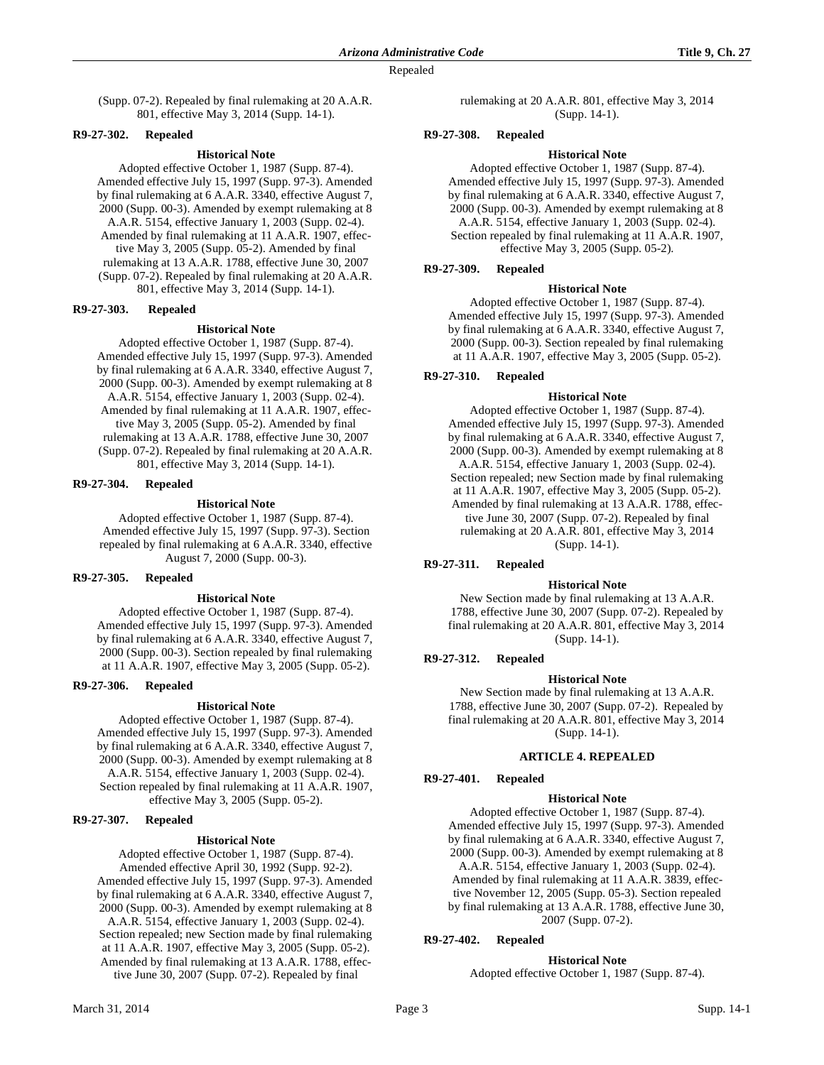(Supp. 07-2). Repealed by final rulemaking at 20 A.A.R. 801, effective May 3, 2014 (Supp. 14-1).

## **R9-27-302. Repealed**

### **Historical Note**

Adopted effective October 1, 1987 (Supp. 87-4). Amended effective July 15, 1997 (Supp. 97-3). Amended by final rulemaking at 6 A.A.R. 3340, effective August 7, 2000 (Supp. 00-3). Amended by exempt rulemaking at 8 A.A.R. 5154, effective January 1, 2003 (Supp. 02-4). Amended by final rulemaking at 11 A.A.R. 1907, effective May 3, 2005 (Supp. 05-2). Amended by final rulemaking at 13 A.A.R. 1788, effective June 30, 2007 (Supp. 07-2). Repealed by final rulemaking at 20 A.A.R. 801, effective May 3, 2014 (Supp. 14-1).

## **R9-27-303. Repealed**

## **Historical Note**

Adopted effective October 1, 1987 (Supp. 87-4). Amended effective July 15, 1997 (Supp. 97-3). Amended by final rulemaking at 6 A.A.R. 3340, effective August 7, 2000 (Supp. 00-3). Amended by exempt rulemaking at 8 A.A.R. 5154, effective January 1, 2003 (Supp. 02-4). Amended by final rulemaking at 11 A.A.R. 1907, effective May 3, 2005 (Supp. 05-2). Amended by final rulemaking at 13 A.A.R. 1788, effective June 30, 2007 (Supp. 07-2). Repealed by final rulemaking at 20 A.A.R. 801, effective May 3, 2014 (Supp. 14-1).

#### **R9-27-304. Repealed**

### **Historical Note**

Adopted effective October 1, 1987 (Supp. 87-4). Amended effective July 15, 1997 (Supp. 97-3). Section repealed by final rulemaking at 6 A.A.R. 3340, effective August 7, 2000 (Supp. 00-3).

### **R9-27-305. Repealed**

#### **Historical Note**

Adopted effective October 1, 1987 (Supp. 87-4). Amended effective July 15, 1997 (Supp. 97-3). Amended by final rulemaking at 6 A.A.R. 3340, effective August 7, 2000 (Supp. 00-3). Section repealed by final rulemaking at 11 A.A.R. 1907, effective May 3, 2005 (Supp. 05-2).

## **R9-27-306. Repealed**

#### **Historical Note**

Adopted effective October 1, 1987 (Supp. 87-4). Amended effective July 15, 1997 (Supp. 97-3). Amended by final rulemaking at 6 A.A.R. 3340, effective August 7, 2000 (Supp. 00-3). Amended by exempt rulemaking at 8 A.A.R. 5154, effective January 1, 2003 (Supp. 02-4). Section repealed by final rulemaking at 11 A.A.R. 1907, effective May 3, 2005 (Supp. 05-2).

# **R9-27-307. Repealed**

#### **Historical Note**

Adopted effective October 1, 1987 (Supp. 87-4). Amended effective April 30, 1992 (Supp. 92-2). Amended effective July 15, 1997 (Supp. 97-3). Amended by final rulemaking at 6 A.A.R. 3340, effective August 7, 2000 (Supp. 00-3). Amended by exempt rulemaking at 8 A.A.R. 5154, effective January 1, 2003 (Supp. 02-4). Section repealed; new Section made by final rulemaking at 11 A.A.R. 1907, effective May 3, 2005 (Supp. 05-2). Amended by final rulemaking at 13 A.A.R. 1788, effective June 30, 2007 (Supp. 07-2). Repealed by final

rulemaking at 20 A.A.R. 801, effective May 3, 2014 (Supp. 14-1).

### **R9-27-308. Repealed**

#### **Historical Note**

Adopted effective October 1, 1987 (Supp. 87-4). Amended effective July 15, 1997 (Supp. 97-3). Amended by final rulemaking at 6 A.A.R. 3340, effective August 7, 2000 (Supp. 00-3). Amended by exempt rulemaking at 8 A.A.R. 5154, effective January 1, 2003 (Supp. 02-4). Section repealed by final rulemaking at 11 A.A.R. 1907, effective May 3, 2005 (Supp. 05-2).

### **R9-27-309. Repealed**

#### **Historical Note**

Adopted effective October 1, 1987 (Supp. 87-4). Amended effective July 15, 1997 (Supp. 97-3). Amended by final rulemaking at 6 A.A.R. 3340, effective August 7, 2000 (Supp. 00-3). Section repealed by final rulemaking at 11 A.A.R. 1907, effective May 3, 2005 (Supp. 05-2).

# **R9-27-310. Repealed**

### **Historical Note**

Adopted effective October 1, 1987 (Supp. 87-4). Amended effective July 15, 1997 (Supp. 97-3). Amended by final rulemaking at 6 A.A.R. 3340, effective August 7, 2000 (Supp. 00-3). Amended by exempt rulemaking at 8 A.A.R. 5154, effective January 1, 2003 (Supp. 02-4). Section repealed; new Section made by final rulemaking at 11 A.A.R. 1907, effective May 3, 2005 (Supp. 05-2). Amended by final rulemaking at 13 A.A.R. 1788, effective June 30, 2007 (Supp. 07-2). Repealed by final rulemaking at 20 A.A.R. 801, effective May 3, 2014 (Supp. 14-1).

## **R9-27-311. Repealed**

#### **Historical Note**

New Section made by final rulemaking at 13 A.A.R. 1788, effective June 30, 2007 (Supp. 07-2). Repealed by final rulemaking at 20 A.A.R. 801, effective May 3, 2014 (Supp. 14-1).

## **R9-27-312. Repealed**

## **Historical Note**

New Section made by final rulemaking at 13 A.A.R. 1788, effective June 30, 2007 (Supp. 07-2). Repealed by final rulemaking at 20 A.A.R. 801, effective May 3, 2014 (Supp. 14-1).

## **ARTICLE 4. REPEALED**

#### **R9-27-401. Repealed**

#### **Historical Note**

Adopted effective October 1, 1987 (Supp. 87-4). Amended effective July 15, 1997 (Supp. 97-3). Amended by final rulemaking at 6 A.A.R. 3340, effective August 7, 2000 (Supp. 00-3). Amended by exempt rulemaking at 8 A.A.R. 5154, effective January 1, 2003 (Supp. 02-4). Amended by final rulemaking at 11 A.A.R. 3839, effective November 12, 2005 (Supp. 05-3). Section repealed by final rulemaking at 13 A.A.R. 1788, effective June 30, 2007 (Supp. 07-2).

# **R9-27-402. Repealed**

**Historical Note** Adopted effective October 1, 1987 (Supp. 87-4).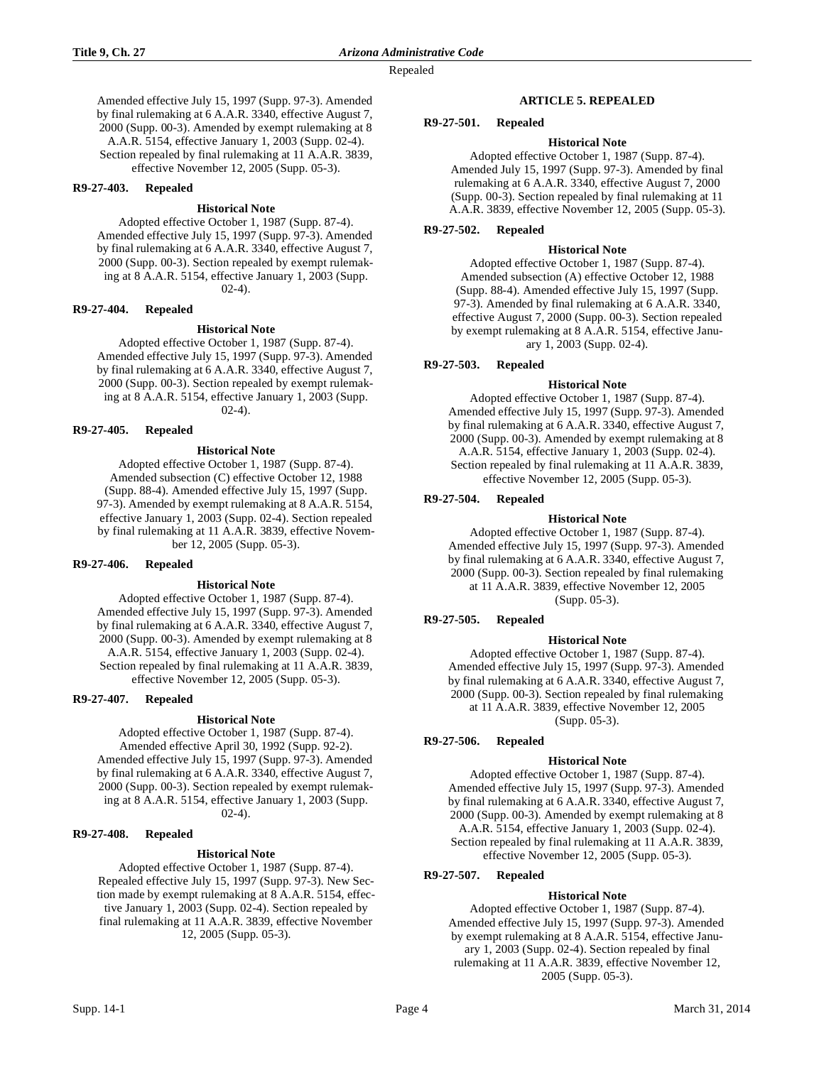Amended effective July 15, 1997 (Supp. 97-3). Amended by final rulemaking at 6 A.A.R. 3340, effective August 7, 2000 (Supp. 00-3). Amended by exempt rulemaking at 8 A.A.R. 5154, effective January 1, 2003 (Supp. 02-4). Section repealed by final rulemaking at 11 A.A.R. 3839, effective November 12, 2005 (Supp. 05-3).

#### **R9-27-403. Repealed**

## **Historical Note**

Adopted effective October 1, 1987 (Supp. 87-4). Amended effective July 15, 1997 (Supp. 97-3). Amended by final rulemaking at 6 A.A.R. 3340, effective August 7, 2000 (Supp. 00-3). Section repealed by exempt rulemaking at 8 A.A.R. 5154, effective January 1, 2003 (Supp.  $(02-4)$ .

## **R9-27-404. Repealed**

### **Historical Note**

Adopted effective October 1, 1987 (Supp. 87-4). Amended effective July 15, 1997 (Supp. 97-3). Amended by final rulemaking at 6 A.A.R. 3340, effective August 7, 2000 (Supp. 00-3). Section repealed by exempt rulemaking at 8 A.A.R. 5154, effective January 1, 2003 (Supp.  $02-4)$ .

## **R9-27-405. Repealed**

### **Historical Note**

Adopted effective October 1, 1987 (Supp. 87-4). Amended subsection (C) effective October 12, 1988 (Supp. 88-4). Amended effective July 15, 1997 (Supp. 97-3). Amended by exempt rulemaking at 8 A.A.R. 5154, effective January 1, 2003 (Supp. 02-4). Section repealed by final rulemaking at 11 A.A.R. 3839, effective November 12, 2005 (Supp. 05-3).

#### **R9-27-406. Repealed**

#### **Historical Note**

Adopted effective October 1, 1987 (Supp. 87-4). Amended effective July 15, 1997 (Supp. 97-3). Amended by final rulemaking at 6 A.A.R. 3340, effective August 7, 2000 (Supp. 00-3). Amended by exempt rulemaking at 8 A.A.R. 5154, effective January 1, 2003 (Supp. 02-4). Section repealed by final rulemaking at 11 A.A.R. 3839, effective November 12, 2005 (Supp. 05-3).

#### **R9-27-407. Repealed**

#### **Historical Note**

Adopted effective October 1, 1987 (Supp. 87-4). Amended effective April 30, 1992 (Supp. 92-2). Amended effective July 15, 1997 (Supp. 97-3). Amended by final rulemaking at 6 A.A.R. 3340, effective August 7, 2000 (Supp. 00-3). Section repealed by exempt rulemaking at 8 A.A.R. 5154, effective January 1, 2003 (Supp. 02-4).

## **R9-27-408. Repealed**

#### **Historical Note**

Adopted effective October 1, 1987 (Supp. 87-4). Repealed effective July 15, 1997 (Supp. 97-3). New Section made by exempt rulemaking at 8 A.A.R. 5154, effective January 1, 2003 (Supp. 02-4). Section repealed by final rulemaking at 11 A.A.R. 3839, effective November 12, 2005 (Supp. 05-3).

### **ARTICLE 5. REPEALED**

### **R9-27-501. Repealed**

## **Historical Note**

Adopted effective October 1, 1987 (Supp. 87-4). Amended July 15, 1997 (Supp. 97-3). Amended by final rulemaking at 6 A.A.R. 3340, effective August 7, 2000 (Supp. 00-3). Section repealed by final rulemaking at 11 A.A.R. 3839, effective November 12, 2005 (Supp. 05-3).

## **R9-27-502. Repealed**

## **Historical Note**

Adopted effective October 1, 1987 (Supp. 87-4). Amended subsection (A) effective October 12, 1988 (Supp. 88-4). Amended effective July 15, 1997 (Supp. 97-3). Amended by final rulemaking at 6 A.A.R. 3340, effective August 7, 2000 (Supp. 00-3). Section repealed by exempt rulemaking at 8 A.A.R. 5154, effective January 1, 2003 (Supp. 02-4).

## **R9-27-503. Repealed**

## **Historical Note**

Adopted effective October 1, 1987 (Supp. 87-4). Amended effective July 15, 1997 (Supp. 97-3). Amended by final rulemaking at 6 A.A.R. 3340, effective August 7, 2000 (Supp. 00-3). Amended by exempt rulemaking at 8 A.A.R. 5154, effective January 1, 2003 (Supp. 02-4). Section repealed by final rulemaking at 11 A.A.R. 3839, effective November 12, 2005 (Supp. 05-3).

## **R9-27-504. Repealed**

### **Historical Note**

Adopted effective October 1, 1987 (Supp. 87-4). Amended effective July 15, 1997 (Supp. 97-3). Amended by final rulemaking at 6 A.A.R. 3340, effective August 7, 2000 (Supp. 00-3). Section repealed by final rulemaking at 11 A.A.R. 3839, effective November 12, 2005 (Supp. 05-3).

## **R9-27-505. Repealed**

### **Historical Note**

Adopted effective October 1, 1987 (Supp. 87-4). Amended effective July 15, 1997 (Supp. 97-3). Amended by final rulemaking at 6 A.A.R. 3340, effective August 7, 2000 (Supp. 00-3). Section repealed by final rulemaking at 11 A.A.R. 3839, effective November 12, 2005 (Supp. 05-3).

## **R9-27-506. Repealed**

## **Historical Note**

Adopted effective October 1, 1987 (Supp. 87-4). Amended effective July 15, 1997 (Supp. 97-3). Amended by final rulemaking at 6 A.A.R. 3340, effective August 7, 2000 (Supp. 00-3). Amended by exempt rulemaking at 8 A.A.R. 5154, effective January 1, 2003 (Supp. 02-4). Section repealed by final rulemaking at 11 A.A.R. 3839, effective November 12, 2005 (Supp. 05-3).

## **R9-27-507. Repealed**

## **Historical Note**

Adopted effective October 1, 1987 (Supp. 87-4). Amended effective July 15, 1997 (Supp. 97-3). Amended by exempt rulemaking at 8 A.A.R. 5154, effective January 1, 2003 (Supp. 02-4). Section repealed by final rulemaking at 11 A.A.R. 3839, effective November 12, 2005 (Supp. 05-3).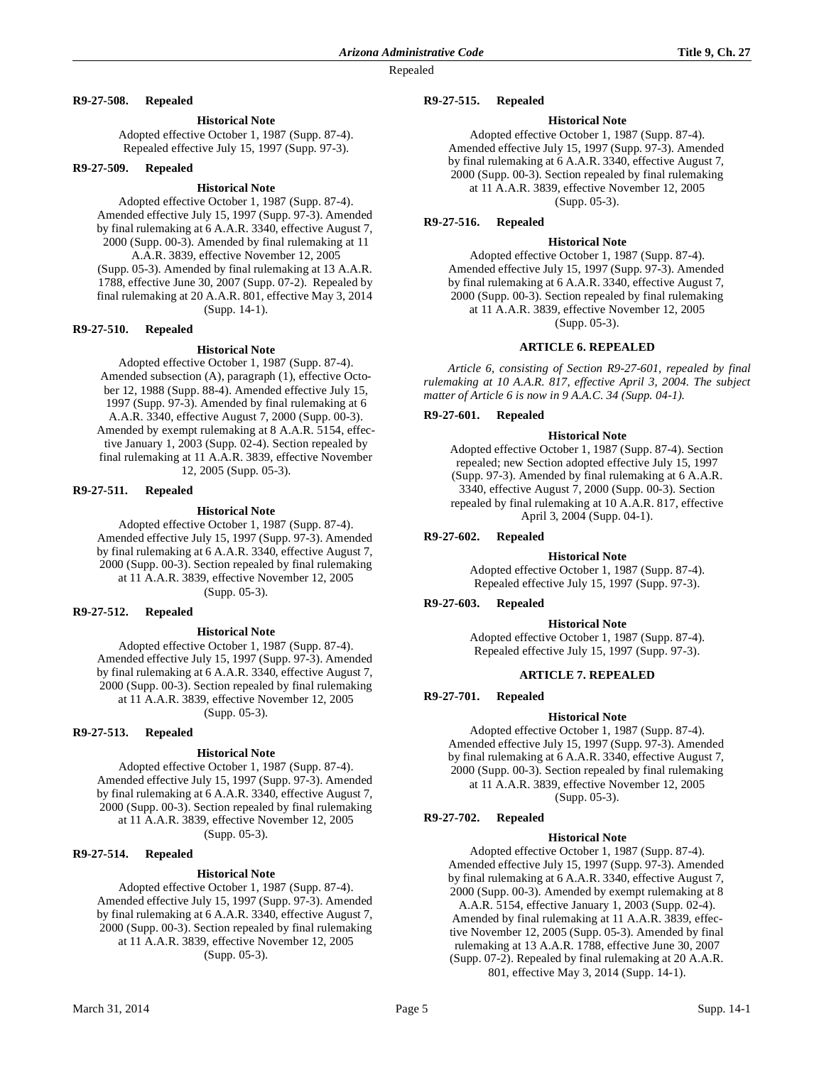## **R9-27-508. Repealed**

### **Historical Note**

Adopted effective October 1, 1987 (Supp. 87-4). Repealed effective July 15, 1997 (Supp. 97-3).

#### **R9-27-509. Repealed**

### **Historical Note**

Adopted effective October 1, 1987 (Supp. 87-4). Amended effective July 15, 1997 (Supp. 97-3). Amended by final rulemaking at 6 A.A.R. 3340, effective August 7, 2000 (Supp. 00-3). Amended by final rulemaking at 11 A.A.R. 3839, effective November 12, 2005 (Supp. 05-3). Amended by final rulemaking at 13 A.A.R. 1788, effective June 30, 2007 (Supp. 07-2). Repealed by final rulemaking at 20 A.A.R. 801, effective May 3, 2014 (Supp. 14-1).

### **R9-27-510. Repealed**

### **Historical Note**

Adopted effective October 1, 1987 (Supp. 87-4). Amended subsection (A), paragraph (1), effective October 12, 1988 (Supp. 88-4). Amended effective July 15, 1997 (Supp. 97-3). Amended by final rulemaking at 6 A.A.R. 3340, effective August 7, 2000 (Supp. 00-3). Amended by exempt rulemaking at 8 A.A.R. 5154, effective January 1, 2003 (Supp. 02-4). Section repealed by final rulemaking at 11 A.A.R. 3839, effective November 12, 2005 (Supp. 05-3).

# **R9-27-511. Repealed**

## **Historical Note**

Adopted effective October 1, 1987 (Supp. 87-4). Amended effective July 15, 1997 (Supp. 97-3). Amended by final rulemaking at 6 A.A.R. 3340, effective August 7, 2000 (Supp. 00-3). Section repealed by final rulemaking at 11 A.A.R. 3839, effective November 12, 2005 (Supp. 05-3).

## **R9-27-512. Repealed**

#### **Historical Note**

Adopted effective October 1, 1987 (Supp. 87-4). Amended effective July 15, 1997 (Supp. 97-3). Amended by final rulemaking at 6 A.A.R. 3340, effective August 7, 2000 (Supp. 00-3). Section repealed by final rulemaking at 11 A.A.R. 3839, effective November 12, 2005 (Supp. 05-3).

# **R9-27-513. Repealed**

## **Historical Note**

Adopted effective October 1, 1987 (Supp. 87-4). Amended effective July 15, 1997 (Supp. 97-3). Amended by final rulemaking at 6 A.A.R. 3340, effective August 7, 2000 (Supp. 00-3). Section repealed by final rulemaking at 11 A.A.R. 3839, effective November 12, 2005 (Supp. 05-3).

### **R9-27-514. Repealed**

## **Historical Note**

Adopted effective October 1, 1987 (Supp. 87-4). Amended effective July 15, 1997 (Supp. 97-3). Amended by final rulemaking at 6 A.A.R. 3340, effective August 7, 2000 (Supp. 00-3). Section repealed by final rulemaking at 11 A.A.R. 3839, effective November 12, 2005 (Supp. 05-3).

#### **R9-27-515. Repealed**

### **Historical Note**

Adopted effective October 1, 1987 (Supp. 87-4). Amended effective July 15, 1997 (Supp. 97-3). Amended by final rulemaking at 6 A.A.R. 3340, effective August 7, 2000 (Supp. 00-3). Section repealed by final rulemaking at 11 A.A.R. 3839, effective November 12, 2005 (Supp. 05-3).

# **R9-27-516. Repealed**

#### **Historical Note**

Adopted effective October 1, 1987 (Supp. 87-4). Amended effective July 15, 1997 (Supp. 97-3). Amended by final rulemaking at 6 A.A.R. 3340, effective August 7, 2000 (Supp. 00-3). Section repealed by final rulemaking at 11 A.A.R. 3839, effective November 12, 2005 (Supp. 05-3).

# **ARTICLE 6. REPEALED**

*Article 6, consisting of Section R9-27-601, repealed by final rulemaking at 10 A.A.R. 817, effective April 3, 2004. The subject matter of Article 6 is now in 9 A.A.C. 34 (Supp. 04-1).*

### **R9-27-601. Repealed**

#### **Historical Note**

Adopted effective October 1, 1987 (Supp. 87-4). Section repealed; new Section adopted effective July 15, 1997 (Supp. 97-3). Amended by final rulemaking at 6 A.A.R. 3340, effective August 7, 2000 (Supp. 00-3). Section repealed by final rulemaking at 10 A.A.R. 817, effective April 3, 2004 (Supp. 04-1).

#### **R9-27-602. Repealed**

#### **Historical Note**

Adopted effective October 1, 1987 (Supp. 87-4). Repealed effective July 15, 1997 (Supp. 97-3).

#### **R9-27-603. Repealed**

#### **Historical Note**

Adopted effective October 1, 1987 (Supp. 87-4). Repealed effective July 15, 1997 (Supp. 97-3).

### **ARTICLE 7. REPEALED**

# **R9-27-701. Repealed**

## **Historical Note**

Adopted effective October 1, 1987 (Supp. 87-4). Amended effective July 15, 1997 (Supp. 97-3). Amended by final rulemaking at 6 A.A.R. 3340, effective August 7, 2000 (Supp. 00-3). Section repealed by final rulemaking at 11 A.A.R. 3839, effective November 12, 2005

(Supp. 05-3).

# **R9-27-702. Repealed**

## **Historical Note**

Adopted effective October 1, 1987 (Supp. 87-4). Amended effective July 15, 1997 (Supp. 97-3). Amended by final rulemaking at 6 A.A.R. 3340, effective August 7, 2000 (Supp. 00-3). Amended by exempt rulemaking at 8 A.A.R. 5154, effective January 1, 2003 (Supp. 02-4). Amended by final rulemaking at 11 A.A.R. 3839, effective November 12, 2005 (Supp. 05-3). Amended by final rulemaking at 13 A.A.R. 1788, effective June 30, 2007 (Supp. 07-2). Repealed by final rulemaking at 20 A.A.R. 801, effective May 3, 2014 (Supp. 14-1).